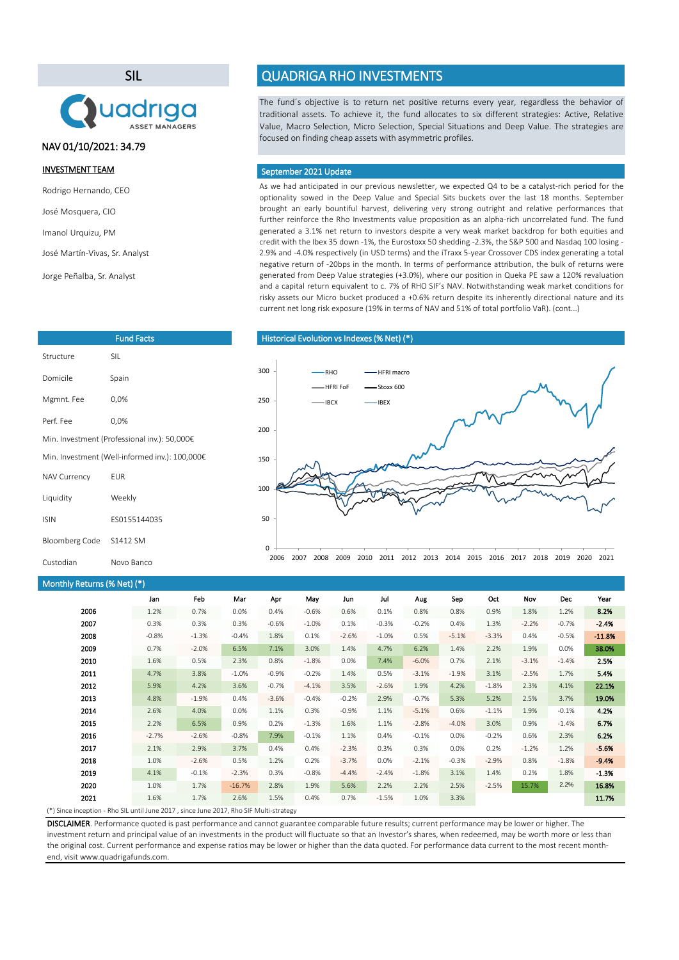SIL



# NAV 01/10/2021: 34.79

### INVESTMENT TEAM

Rodrigo Hernando, CEO

José Mosquera, CIO

Imanol Urquizu, PM

José Martín-Vivas, Sr. Analyst

Jorge Peñalba, Sr. Analyst

| <b>Fund Facts</b>                              |              |  |  |  |
|------------------------------------------------|--------------|--|--|--|
| Structure                                      | SIL          |  |  |  |
| Domicile                                       | Spain        |  |  |  |
| Mgmnt. Fee                                     | 0,0%         |  |  |  |
| Perf Fee                                       | 0,0%         |  |  |  |
| Min. Investment (Professional inv.): 50,000€   |              |  |  |  |
| Min. Investment (Well-informed inv.): 100,000€ |              |  |  |  |
| <b>NAV Currency</b>                            | <b>FUR</b>   |  |  |  |
| Liquidity                                      | Weekly       |  |  |  |
| <b>ISIN</b>                                    | FS0155144035 |  |  |  |
| Bloomberg Code                                 | S1412 SM     |  |  |  |
| Custodian                                      | Novo Banco   |  |  |  |

# Monthly Returns (% Net) (\*)

#### Jan Feb Mar Apr May Jun Jul Aug Sep Oct Nov Dec Year 1.2% 0.7% 0.0% 0.4% -0.6% 0.6% 0.1% 0.8% 0.8% 0.9% 1.8% 1.2% 8.2% 0.3% 0.3% 0.3% -0.6% -1.0% 0.1% -0.3% -0.2% 0.4% 1.3% -2.2% -0.7% -2.4% -0.8% -1.3% -0.4% 1.8% 0.1% -2.6% -1.0% 0.5% -5.1% -3.3% 0.4% -0.5% -11.8% 0.7% -2.0% 6.5% 7.1% 3.0% 1.4% 4.7% 6.2% 1.4% 2.2% 1.9% 0.0% 38.0% 1.6% 0.5% 2.3% 0.8% -1.8% 0.0% 7.4% -6.0% 0.7% 2.1% -3.1% -1.4% 2.5% 4.7% 3.8% -1.0% -0.9% -0.2% 1.4% 0.5% -3.1% -1.9% 3.1% -2.5% 1.7% 5.4% 5.9% 4.2% 3.6% -0.7% -4.1% 3.5% -2.6% 1.9% 4.2% -1.8% 2.3% 4.1% 22.1% 4.8% -1.9% 0.4% -3.6% -0.4% -0.2% 2.9% -0.7% 5.3% 5.2% 2.5% 3.7% 19.0% 2.6% 4.0% 0.0% 1.1% 0.3% -0.9% 1.1% -5.1% 0.6% -1.1% 1.9% -0.1% 4.2% 2.2% 6.5% 0.9% 0.2% -1.3% 1.6% 1.1% -2.8% -4.0% 3.0% 0.9% -1.4% 6.7% -2.7% -2.6% -0.8% 7.9% -0.1% 1.1% 0.4% -0.1% 0.0% -0.2% 0.6% 2.3% 6.2% 2.1% 2.9% 3.7% 0.4% 0.4% -2.3% 0.3% 0.3% 0.0% 0.2% -1.2% 1.2% -5.6% 1.0% -2.6% 0.5% 1.2% 0.2% -3.7% 0.0% -2.1% -0.3% -2.9% 0.8% -1.8% -9.4% 4.1% -0.1% -2.3% 0.3% -0.8% -4.4% -2.4% -1.8% 3.1% 1.4% 0.2% 1.8% -1.3% 1.0% 1.7% -16.7% 2.8% 1.9% 5.6% 2.2% 2.2% 2.5% -2.5% 15.7% 2.2% 16.8% 1.6% 1.7% 2.6% 1.5% 0.4% 0.7% -1.5% 1.0% 3.3% 11.7% 11.7% (\*) Since inception - Rho SIL until June 2017 , since June 2017, Rho SIF Multi-strategy 2020 2021 2019 2011 2006 2007 2008 2009 2010 2018 2012 2013 2014 2015 2016 2017

DISCLAIMER. Performance quoted is past performance and cannot guarantee comparable future results; current performance may be lower or higher. The investment return and principal value of an investments in the product will fluctuate so that an Investor's shares, when redeemed, may be worth more or less than the original cost. Current performance and expense ratios may be lower or higher than the data quoted. For performance data current to the most recent monthend, visit www.quadrigafunds.com.

# QUADRIGA RHO INVESTMENTS

The fund´s objective is to return net positive returns every year, regardless the behavior of traditional assets. To achieve it, the fund allocates to six different strategies: Active, Relative Value, Macro Selection, Micro Selection, Special Situations and Deep Value. The strategies are focused on finding cheap assets with asymmetric profiles.

#### September 2021 Update

As we had anticipated in our previous newsletter, we expected Q4 to be a catalyst-rich period for the optionality sowed in the Deep Value and Special Sits buckets over the last 18 months. September brought an early bountiful harvest, delivering very strong outright and relative performances that further reinforce the Rho Investments value proposition as an alpha-rich uncorrelated fund. The fund generated a 3.1% net return to investors despite a very weak market backdrop for both equities and credit with the Ibex 35 down -1%, the Eurostoxx 50 shedding -2.3%, the S&P 500 and Nasdaq 100 losing - 2.9% and -4.0% respectively (in USD terms) and the iTraxx 5-year Crossover CDS index generating a total negative return of -20bps in the month. In terms of performance attribution, the bulk of returns were generated from Deep Value strategies (+3.0%), where our position in Queka PE saw a 120% revaluation and a capital return equivalent to c. 7% of RHO SIF's NAV. Notwithstanding weak market conditions for risky assets our Micro bucket produced a +0.6% return despite its inherently directional nature and its current net long risk exposure (19% in terms of NAV and 51% of total portfolio VaR). (cont...)

#### Historical Evolution vs Indexes(% Net) (\*)

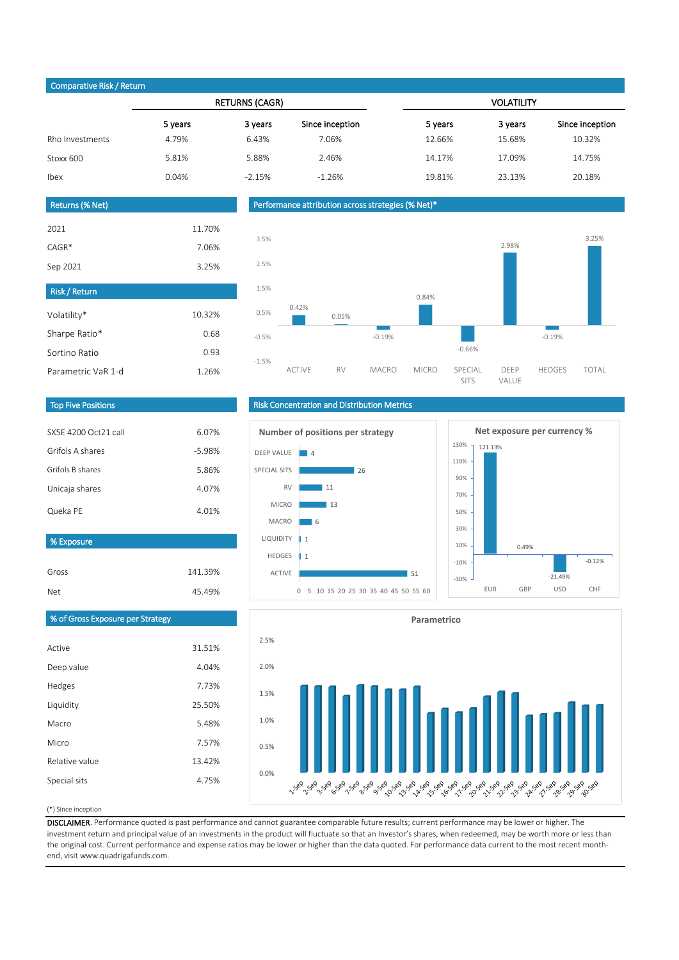# Comparative Risk / Return

|                 | <b>RETURNS (CAGR)</b> |          | <b>VOLATILITY</b> |         |         |                 |
|-----------------|-----------------------|----------|-------------------|---------|---------|-----------------|
|                 | 5 years               | 3 years  | Since inception   | 5 years | 3 years | Since inception |
| Rho Investments | 4.79%                 | 6.43%    | 7.06%             | 12.66%  | 15.68%  | 10.32%          |
| Stoxx 600       | 5.81%                 | 5.88%    | 2.46%             | 14.17%  | 17.09%  | 14.75%          |
| Ibex            | 0.04%                 | $-2.15%$ | $-1.26%$          | 19.81%  | 23.13%  | 20.18%          |
|                 |                       |          |                   |         |         |                 |

| Returns (% Net)      |        |
|----------------------|--------|
|                      |        |
| 2021                 | 11.70% |
| $CAGR*$              | 7.06%  |
| Sep 2021             | 3.25%  |
|                      |        |
| <b>Risk / Return</b> |        |
| Volatility*          | 10.32% |
|                      |        |
| Sharpe Ratio*        | 0.68   |
| Sortino Ratio        | 0.93   |
| Parametric VaR 1-d   | 1.26%  |

#### Performance attribution across strategies (% Net)\*



### Top Five Positions

| SX5F 4200 Oct21 call | 6.07%    |
|----------------------|----------|
| Grifols A shares     | $-5.98%$ |
| Grifols B shares     | 5.86%    |
| Unicaja shares       | 4.07%    |
| Queka PE             | 4.01%    |
|                      |          |

### % Exposure

| Gross | 141.39% |
|-------|---------|
| Net   | 45.49%  |

# Risk Concentration and Distribution Metrics





# % of Gross Exposure per Strategy

| Active         | 31.51% |
|----------------|--------|
| Deep value     | 4.04%  |
| Hedges         | 7.73%  |
| Liquidity      | 25.50% |
| Macro          | 5.48%  |
| Micro          | 7.57%  |
| Relative value | 13.42% |
| Special sits   | 4.75%  |
|                |        |



#### (\*) Since inception

DISCLAIMER. Performance quoted is past performance and cannot guarantee comparable future results; current performance may be lower or higher. The investment return and principal value of an investments in the product will fluctuate so that an Investor's shares, when redeemed, may be worth more or less than the original cost. Current performance and expense ratios may be lower or higher than the data quoted. For performance data current to the most recent monthend, visit www.quadrigafunds.com.